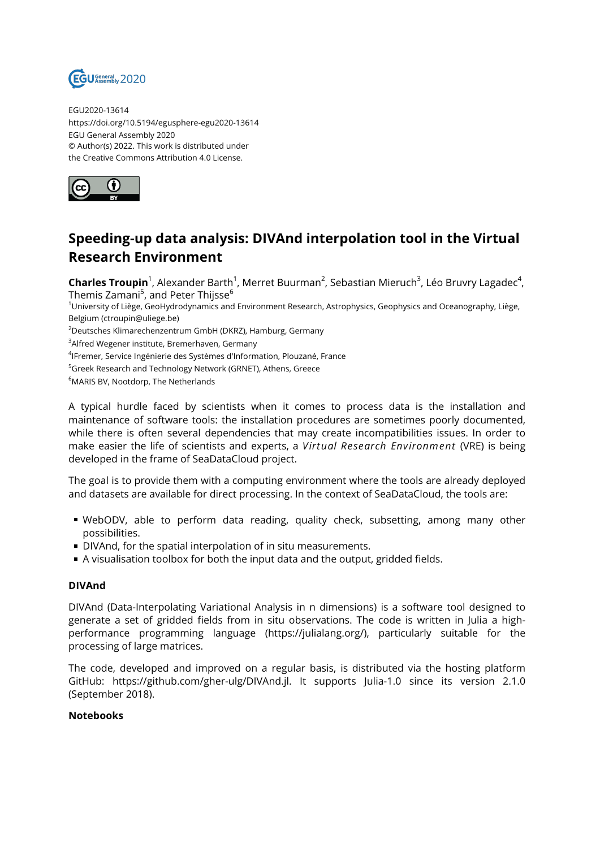

EGU2020-13614 https://doi.org/10.5194/egusphere-egu2020-13614 EGU General Assembly 2020 © Author(s) 2022. This work is distributed under the Creative Commons Attribution 4.0 License.



# **Speeding-up data analysis: DIVAnd interpolation tool in the Virtual Research Environment**

**Charles Troupin**<sup>1</sup>, Alexander Barth<sup>1</sup>, Merret Buurman<sup>2</sup>, Sebastian Mieruch<sup>3</sup>, Léo Bruvry Lagadec<sup>4</sup>, Themis Zamani<sup>5</sup>, and Peter Thijsse $^6$ 

<sup>1</sup>University of Liège, GeoHydrodynamics and Environment Research, Astrophysics, Geophysics and Oceanography, Liège, Belgium (ctroupin@uliege.be)

<sup>2</sup>Deutsches Klimarechenzentrum GmbH (DKRZ), Hamburg, Germany

<sup>3</sup>Alfred Wegener institute, Bremerhaven, Germany

4 IFremer, Service Ingénierie des Systèmes d'Information, Plouzané, France

<sup>5</sup>Greek Research and Technology Network (GRNET), Athens, Greece

<sup>6</sup>MARIS BV, Nootdorp, The Netherlands

A typical hurdle faced by scientists when it comes to process data is the installation and maintenance of software tools: the installation procedures are sometimes poorly documented, while there is often several dependencies that may create incompatibilities issues. In order to make easier the life of scientists and experts, a *Virtual Research Environment* (VRE) is being developed in the frame of SeaDataCloud project.

The goal is to provide them with a computing environment where the tools are already deployed and datasets are available for direct processing. In the context of SeaDataCloud, the tools are:

- WebODV, able to perform data reading, quality check, subsetting, among many other possibilities.
- DIVAnd, for the spatial interpolation of in situ measurements.
- A visualisation toolbox for both the input data and the output, gridded fields.

#### **DIVAnd**

DIVAnd (Data-Interpolating Variational Analysis in n dimensions) is a software tool designed to generate a set of gridded fields from in situ observations. The code is written in Julia a highperformance programming language (https://julialang.org/), particularly suitable for the processing of large matrices.

The code, developed and improved on a regular basis, is distributed via the hosting platform GitHub: https://github.com/gher-ulg/DIVAnd.jl. It supports Julia-1.0 since its version 2.1.0 (September 2018).

#### **Notebooks**